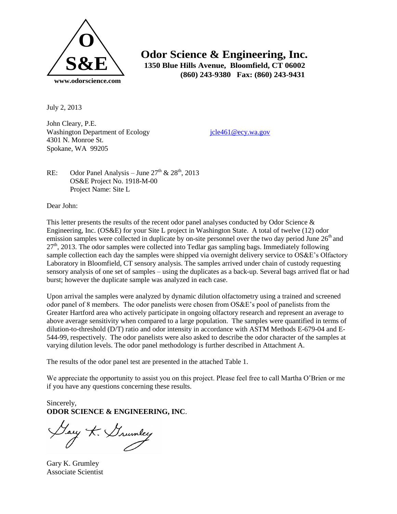

 **Odor Science & Engineering, Inc. 1350 Blue Hills Avenue, Bloomfield, CT 06002 (860) 243-9380 Fax: (860) 243-9431**

July 2, 2013

John Cleary, P.E. Washington Department of Ecology icle461@ecy.wa.gov 4301 N. Monroe St. Spokane, WA 99205

RE: Odor Panel Analysis – June  $27<sup>th</sup>$  &  $28<sup>th</sup>$ , 2013 OS&E Project No. 1918-M-00 Project Name: Site L

Dear John:

This letter presents the results of the recent odor panel analyses conducted by Odor Science & Engineering, Inc. (OS&E) for your Site L project in Washington State. A total of twelve (12) odor emission samples were collected in duplicate by on-site personnel over the two day period June  $26<sup>th</sup>$  and  $27<sup>th</sup>$ , 2013. The odor samples were collected into Tedlar gas sampling bags. Immediately following sample collection each day the samples were shipped via overnight delivery service to OS&E's Olfactory Laboratory in Bloomfield, CT sensory analysis. The samples arrived under chain of custody requesting sensory analysis of one set of samples – using the duplicates as a back-up. Several bags arrived flat or had burst; however the duplicate sample was analyzed in each case.

Upon arrival the samples were analyzed by dynamic dilution olfactometry using a trained and screened odor panel of 8 members. The odor panelists were chosen from OS&E's pool of panelists from the Greater Hartford area who actively participate in ongoing olfactory research and represent an average to above average sensitivity when compared to a large population. The samples were quantified in terms of dilution-to-threshold (D/T) ratio and odor intensity in accordance with ASTM Methods E-679-04 and E-544-99, respectively. The odor panelists were also asked to describe the odor character of the samples at varying dilution levels. The odor panel methodology is further described in Attachment A.

The results of the odor panel test are presented in the attached Table 1.

We appreciate the opportunity to assist you on this project. Please feel free to call Martha O'Brien or me if you have any questions concerning these results.

Sincerely, **ODOR SCIENCE & ENGINEERING, INC**.

Yary K. Grumley

Gary K. Grumley Associate Scientist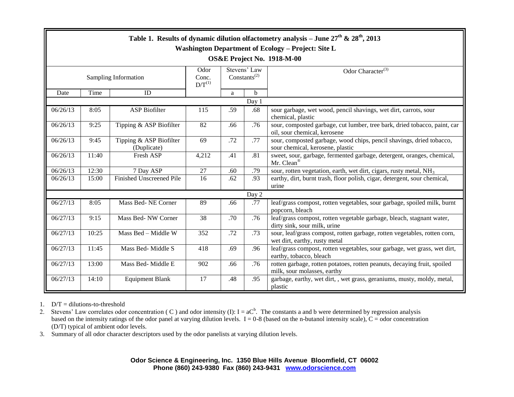| Table 1. Results of dynamic dilution olfactometry analysis – June $27^{th}$ & $28^{th}$ , 2013<br>Washington Department of Ecology - Project: Site L |       |                                        |                              |                                   |             |                                                                                                            |
|------------------------------------------------------------------------------------------------------------------------------------------------------|-------|----------------------------------------|------------------------------|-----------------------------------|-------------|------------------------------------------------------------------------------------------------------------|
| OS&E Project No. 1918-M-00                                                                                                                           |       |                                        |                              |                                   |             |                                                                                                            |
| Sampling Information                                                                                                                                 |       |                                        | Odor<br>Conc.<br>$D/T^{(1)}$ | Stevens' Law<br>$Constants^{(2)}$ |             | Odor Character <sup>(3)</sup>                                                                              |
| Date                                                                                                                                                 | Time  | ID                                     |                              | a                                 | $\mathbf b$ |                                                                                                            |
| Day 1                                                                                                                                                |       |                                        |                              |                                   |             |                                                                                                            |
| 06/26/13                                                                                                                                             | 8:05  | <b>ASP Biofilter</b>                   | 115                          | .59                               | .68         | sour garbage, wet wood, pencil shavings, wet dirt, carrots, sour<br>chemical, plastic                      |
| 06/26/13                                                                                                                                             | 9:25  | Tipping & ASP Biofilter                | 82                           | .66                               | .76         | sour, composted garbage, cut lumber, tree bark, dried tobacco, paint, car<br>oil, sour chemical, kerosene  |
| 06/26/13                                                                                                                                             | 9:45  | Tipping & ASP Biofilter<br>(Duplicate) | 69                           | .72                               | .77         | sour, composted garbage, wood chips, pencil shavings, dried tobacco,<br>sour chemical, kerosene, plastic   |
| 06/26/13                                                                                                                                             | 11:40 | Fresh ASP                              | 4,212                        | .41                               | .81         | sweet, sour, garbage, fermented garbage, detergent, oranges, chemical,<br>Mr. Clean®                       |
| 06/26/13                                                                                                                                             | 12:30 | 7 Day ASP                              | 27                           | .60                               | .79         | sour, rotten vegetation, earth, wet dirt, cigars, rusty metal, NH <sub>3</sub>                             |
| 06/26/13                                                                                                                                             | 15:00 | Finished Unscreened Pile               | 16                           | .62                               | .93         | earthy, dirt, burnt trash, floor polish, cigar, detergent, sour chemical,<br>urine                         |
| Day 2                                                                                                                                                |       |                                        |                              |                                   |             |                                                                                                            |
| 06/27/13                                                                                                                                             | 8:05  | Mass Bed-NE Corner                     | 89                           | .66                               | .77         | leaf/grass compost, rotten vegetables, sour garbage, spoiled milk, burnt<br>popcorn, bleach                |
| 06/27/13                                                                                                                                             | 9:15  | Mass Bed-NW Corner                     | 38                           | .70                               | .76         | leaf/grass compost, rotten vegetable garbage, bleach, stagnant water,<br>dirty sink, sour milk, urine      |
| 06/27/13                                                                                                                                             | 10:25 | Mass Bed - Middle W                    | 352                          | .72                               | .73         | sour, leaf/grass compost, rotten garbage, rotten vegetables, rotten corn,<br>wet dirt, earthy, rusty metal |
| 06/27/13                                                                                                                                             | 11:45 | Mass Bed- Middle S                     | 418                          | .69                               | .96         | leaf/grass compost, rotten vegetables, sour garbage, wet grass, wet dirt,<br>earthy, tobacco, bleach       |
| 06/27/13                                                                                                                                             | 13:00 | Mass Bed-Middle E                      | 902                          | .66                               | .76         | rotten garbage, rotten potatoes, rotten peanuts, decaying fruit, spoiled<br>milk, sour molasses, earthy    |
| 06/27/13                                                                                                                                             | 14:10 | <b>Equipment Blank</b>                 | 17                           | .48                               | .95         | garbage, earthy, wet dirt, , wet grass, geraniums, musty, moldy, metal,<br>plastic                         |

1.  $D/T =$  dilutions-to-threshold

2. Stevens' Law correlates odor concentration (C) and odor intensity (I):  $I = aC<sup>b</sup>$ . The constants a and b were determined by regression analysis based on the intensity ratings of the odor panel at varying dilution levels.  $I = 0.8$  (based on the n-butanol intensity scale),  $C =$  odor concentration (D/T) typical of ambient odor levels.

3. Summary of all odor character descriptors used by the odor panelists at varying dilution levels.

**Odor Science & Engineering, Inc. 1350 Blue Hills Avenue Bloomfield, CT 06002 Phone (860) 243-9380 Fax (860) 243-9431 [www.odorscience.com](http://www.odorscience.com/)**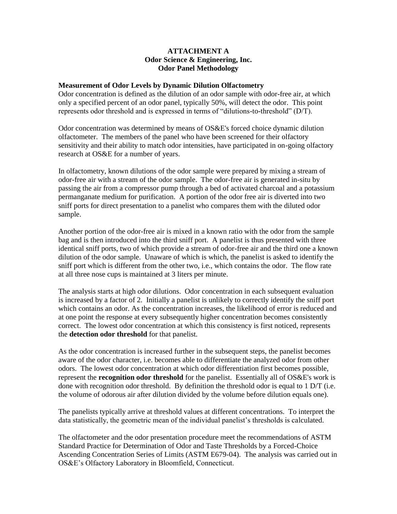## **ATTACHMENT A Odor Science & Engineering, Inc. Odor Panel Methodology**

## **Measurement of Odor Levels by Dynamic Dilution Olfactometry**

Odor concentration is defined as the dilution of an odor sample with odor-free air, at which only a specified percent of an odor panel, typically 50%, will detect the odor. This point represents odor threshold and is expressed in terms of "dilutions-to-threshold" (D/T).

Odor concentration was determined by means of OS&E's forced choice dynamic dilution olfactometer. The members of the panel who have been screened for their olfactory sensitivity and their ability to match odor intensities, have participated in on-going olfactory research at OS&E for a number of years.

In olfactometry, known dilutions of the odor sample were prepared by mixing a stream of odor-free air with a stream of the odor sample. The odor-free air is generated in-situ by passing the air from a compressor pump through a bed of activated charcoal and a potassium permanganate medium for purification. A portion of the odor free air is diverted into two sniff ports for direct presentation to a panelist who compares them with the diluted odor sample.

Another portion of the odor-free air is mixed in a known ratio with the odor from the sample bag and is then introduced into the third sniff port. A panelist is thus presented with three identical sniff ports, two of which provide a stream of odor-free air and the third one a known dilution of the odor sample. Unaware of which is which, the panelist is asked to identify the sniff port which is different from the other two, i.e., which contains the odor. The flow rate at all three nose cups is maintained at 3 liters per minute.

The analysis starts at high odor dilutions. Odor concentration in each subsequent evaluation is increased by a factor of 2. Initially a panelist is unlikely to correctly identify the sniff port which contains an odor. As the concentration increases, the likelihood of error is reduced and at one point the response at every subsequently higher concentration becomes consistently correct. The lowest odor concentration at which this consistency is first noticed, represents the **detection odor threshold** for that panelist.

As the odor concentration is increased further in the subsequent steps, the panelist becomes aware of the odor character, i.e. becomes able to differentiate the analyzed odor from other odors. The lowest odor concentration at which odor differentiation first becomes possible, represent the **recognition odor threshold** for the panelist. Essentially all of OS&E's work is done with recognition odor threshold. By definition the threshold odor is equal to 1 D/T (i.e. the volume of odorous air after dilution divided by the volume before dilution equals one).

The panelists typically arrive at threshold values at different concentrations. To interpret the data statistically, the geometric mean of the individual panelist's thresholds is calculated.

The olfactometer and the odor presentation procedure meet the recommendations of ASTM Standard Practice for Determination of Odor and Taste Thresholds by a Forced-Choice Ascending Concentration Series of Limits (ASTM E679-04). The analysis was carried out in OS&E's Olfactory Laboratory in Bloomfield, Connecticut.